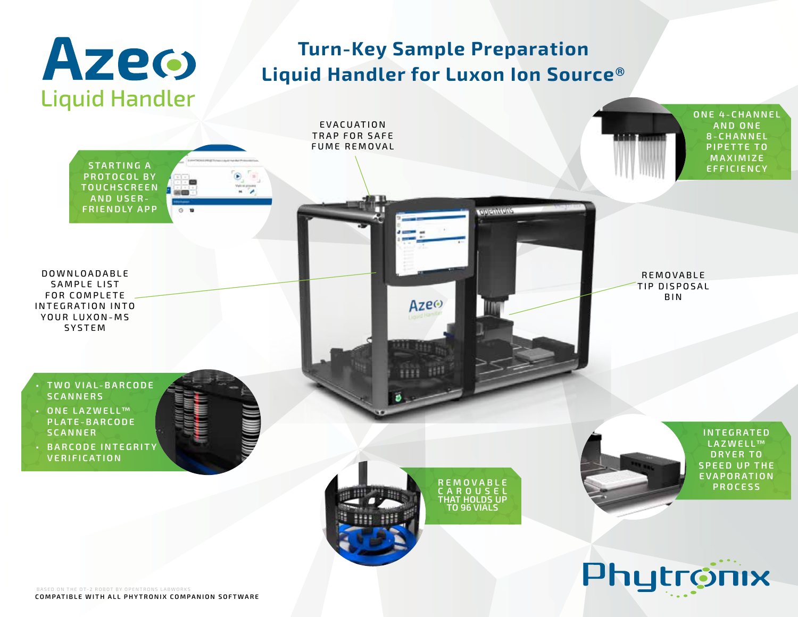